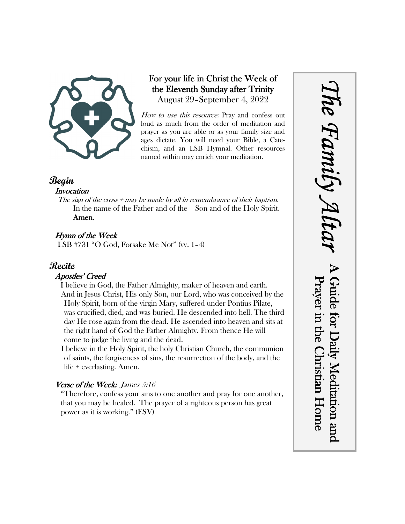

# For your life in Christ the Week of the Eleventh Sunday after Trinity August 29–September 4, 2022

How to use this resource: Pray and confess out loud as much from the order of meditation and prayer as you are able or as your family size and ages dictate. You will need your Bible, a Catechism, and an LSB Hymnal. Other resources named within may enrich your meditation.

# **Begin**

#### **Invocation**

The sign of the cross  $+$  may be made by all in remembrance of their baptism. In the name of the Father and of the + Son and of the Holy Spirit. Amen.

# Hymn of the Week

LSB #731 "O God, Forsake Me Not" (vv. 1–4)

# **Recite**

### Apostles' Creed

I believe in God, the Father Almighty, maker of heaven and earth. And in Jesus Christ, His only Son, our Lord, who was conceived by the Holy Spirit, born of the virgin Mary, suffered under Pontius Pilate, was crucified, died, and was buried. He descended into hell. The third day He rose again from the dead. He ascended into heaven and sits at the right hand of God the Father Almighty. From thence He will come to judge the living and the dead.

I believe in the Holy Spirit, the holy Christian Church, the communion of saints, the forgiveness of sins, the resurrection of the body, and the life + everlasting. Amen.

# Verse of the Week: James 5:16

"Therefore, confess your sins to one another and pray for one another, that you may be healed. The prayer of a righteous person has great power as it is working." (ESV)

*The Family Altar* he Family A A Guide for Daily Meditation and Prayer in the Christian Home Guide for Daily Meditation and Prayer in the Christian Home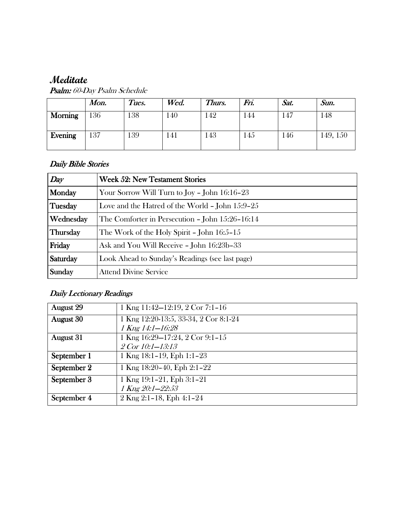# **Meditate**

| <b>Psalm:</b> 60-Day Psalm Schedule |  |
|-------------------------------------|--|
|-------------------------------------|--|

|                | Mon. | Tues. | Wed. | Thurs. | Fn. | Sat. | Sun.     |
|----------------|------|-------|------|--------|-----|------|----------|
| <b>Morning</b> | 136  | 38    | 140  | .42    | 144 | 147  | 148      |
| Evening        | 137  | 139   | 141  | 143    | 145 | 146  | 149, 150 |

## Daily Bible Stories

| Day             | <b>Week 52: New Testament Stories</b>               |  |  |  |
|-----------------|-----------------------------------------------------|--|--|--|
| Monday          | Your Sorrow Will Turn to Joy - John 16:16-23        |  |  |  |
| Tuesday         | Love and the Hatred of the World $-$ John $15:9-25$ |  |  |  |
| Wednesday       | The Comforter in Persecution - John 15:26-16:14     |  |  |  |
| <b>Thursday</b> | The Work of the Holy Spirit - John $16:5-15$        |  |  |  |
| Friday          | Ask and You Will Receive - John 16:23b-33           |  |  |  |
| Saturday        | Look Ahead to Sunday's Readings (see last page)     |  |  |  |
| Sunday          | <b>Attend Divine Service</b>                        |  |  |  |

# Daily Lectionary Readings

| <b>August 29</b> | 1 Kng 11:42–12:19, 2 Cor 7:1-16       |
|------------------|---------------------------------------|
| <b>August 30</b> | 1 Kng 12:20-13:5, 33-34, 2 Cor 8:1-24 |
|                  | 1 Kng 14:1-16:28                      |
| <b>August</b> 31 | 1 Kng 16:29-17:24, 2 Cor 9:1-15       |
|                  | $2$ Cor $10:1-13:13$                  |
| September 1      | 1 Kng $18:1-19$ , Eph $1:1-23$        |
| September 2      | 1 Kng $18:20-40$ , Eph $2:1-22$       |
| September 3      | 1 Kng $19:1-21$ , Eph $3:1-21$        |
|                  | 1 Kng 20:1-22:53                      |
| September 4      | 2 Kng 2:1-18, Eph 4:1-24              |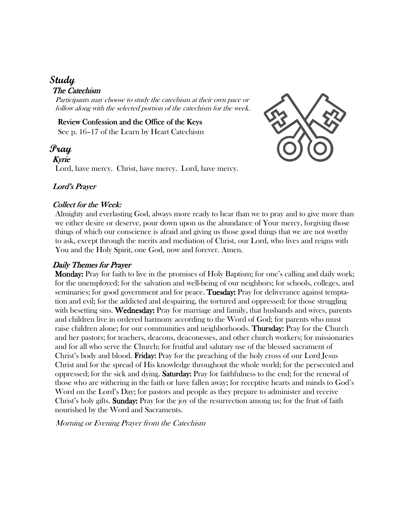# **Study**

## The Catechism

Participants may choose to study the catechism at their own pace or follow along with the selected portion of the catechism for the week.

#### Review Confession and the Office of the Keys See p. 16–17 of the Learn by Heart Catechism

# **Pray**

Kyrie

Lord, have mercy. Christ, have mercy. Lord, have mercy.



## Lord's Prayer

#### Collect for the Week:

Almighty and everlasting God, always more ready to hear than we to pray and to give more than we either desire or deserve, pour down upon us the abundance of Your mercy, forgiving those things of which our conscience is afraid and giving us those good things that we are not worthy to ask, except through the merits and mediation of Christ, our Lord, who lives and reigns with You and the Holy Spirit, one God, now and forever. Amen.

# Daily Themes for Prayer

 Monday: Monday: Pray for faith to live in the promises of Holy Baptism; for one's calling and daily work; for the unemployed; for the salvation and well-being of our neighbors; for schools, colleges, and seminaries; for good government and for peace. Tuesday: Pray for deliverance against temptation and evil; for the addicted and despairing, the tortured and oppressed; for those struggling with besetting sins. Wednesday: Pray for marriage and family, that husbands and wives, parents and children live in ordered harmony according to the Word of God; for parents who must raise children alone; for our communities and neighborhoods. **Thursday:** Pray for the Church and her pastors; for teachers, deacons, deaconesses, and other church workers; for missionaries and for all who serve the Church; for fruitful and salutary use of the blessed sacrament of Christ's body and blood. Friday: Pray for the preaching of the holy cross of our Lord Jesus Christ and for the spread of His knowledge throughout the whole world; for the persecuted and oppressed; for the sick and dying. **Saturday:** Pray for faithfulness to the end; for the renewal of those who are withering in the faith or have fallen away; for receptive hearts and minds to God's Word on the Lord's Day; for pastors and people as they prepare to administer and receive Christ's holy gifts. **Sunday:** Pray for the joy of the resurrection among us; for the fruit of faith nourished by the Word and Sacraments.

Morning or Evening Prayer from the Catechism